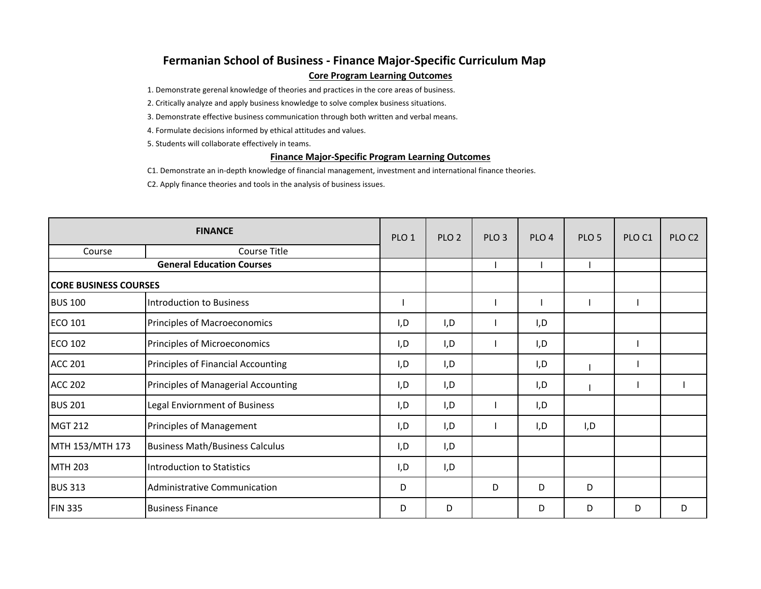## **Fermanian School of Business ‐ Finance Major‐Specific Curriculum Map Core Program Learning Outcomes**

1. Demonstrate gerenal knowledge of theories and practices in the core areas of business.

2. Critically analyze and apply business knowledge to solve complex business situations.

3. Demonstrate effective business communication through both written and verbal means.

4. Formulate decisions informed by ethical attitudes and values.

5. Students will collaborate effectively in teams.

## **Finance Major‐Specific Program Learning Outcomes**

C1. Demonstrate an in‐depth knowledge of financial management, investment and international finance theories.

C2. Apply finance theories and tools in the analysis of business issues.

| <b>FINANCE</b>                   |                                        | PLO <sub>1</sub> | PLO <sub>2</sub> | PLO <sub>3</sub> | PLO <sub>4</sub> | PLO <sub>5</sub> | PLO <sub>C1</sub> | PLO <sub>C2</sub> |
|----------------------------------|----------------------------------------|------------------|------------------|------------------|------------------|------------------|-------------------|-------------------|
| Course                           | Course Title                           |                  |                  |                  |                  |                  |                   |                   |
| <b>General Education Courses</b> |                                        |                  |                  |                  |                  |                  |                   |                   |
| <b>CORE BUSINESS COURSES</b>     |                                        |                  |                  |                  |                  |                  |                   |                   |
| <b>BUS 100</b>                   | Introduction to Business               |                  |                  |                  |                  |                  |                   |                   |
| <b>ECO 101</b>                   | Principles of Macroeconomics           | I,D              | I, D             |                  | I, D             |                  |                   |                   |
| <b>ECO 102</b>                   | Principles of Microeconomics           | I,D              | I, D             |                  | I, D             |                  |                   |                   |
| <b>ACC 201</b>                   | Principles of Financial Accounting     | I,D              | I, D             |                  | I,D              |                  |                   |                   |
| <b>ACC 202</b>                   | Principles of Managerial Accounting    | I,D              | I,D              |                  | I,D              |                  |                   |                   |
| <b>BUS 201</b>                   | Legal Enviornment of Business          | I,D              | I, D             |                  | I,D              |                  |                   |                   |
| <b>MGT 212</b>                   | Principles of Management               | I,D              | I,D              |                  | I, D             | I,D              |                   |                   |
| MTH 153/MTH 173                  | <b>Business Math/Business Calculus</b> | I,D              | I,D              |                  |                  |                  |                   |                   |
| <b>MTH 203</b>                   | Introduction to Statistics             | I,D              | I, D             |                  |                  |                  |                   |                   |
| <b>BUS 313</b>                   | Administrative Communication           | D                |                  | D                | D                | D                |                   |                   |
| <b>FIN 335</b>                   | <b>Business Finance</b>                | D                | D                |                  | D                | D                | D                 | D                 |